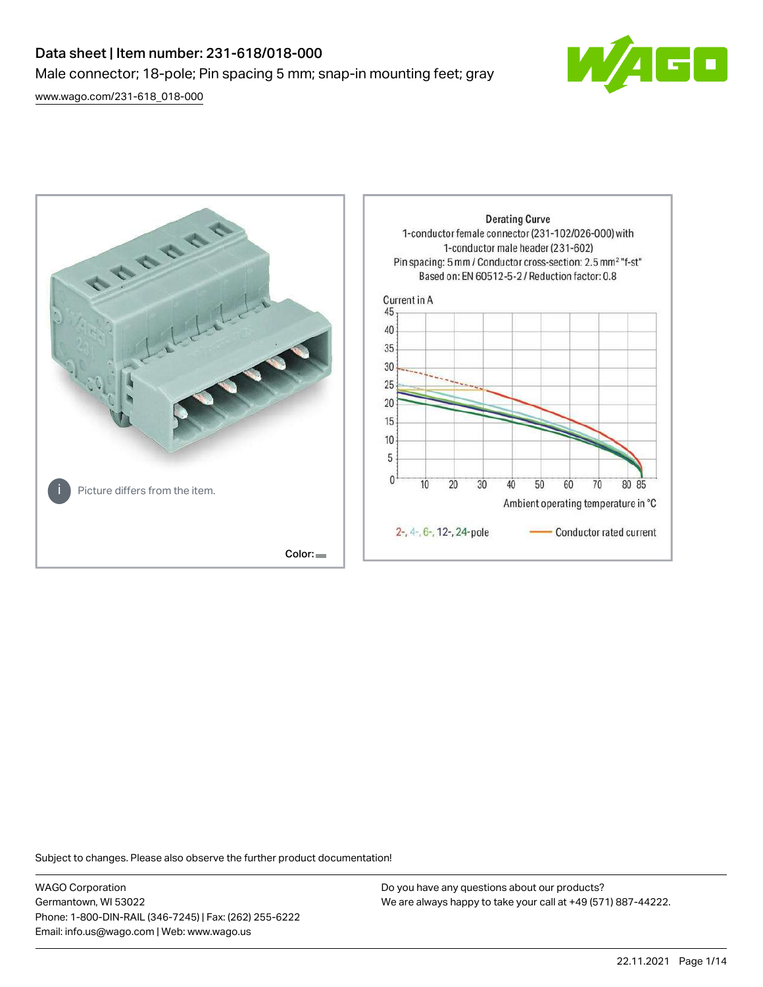# Data sheet | Item number: 231-618/018-000 Male connector; 18-pole; Pin spacing 5 mm; snap-in mounting feet; gray

[www.wago.com/231-618\\_018-000](http://www.wago.com/231-618_018-000)





Subject to changes. Please also observe the further product documentation!

WAGO Corporation Germantown, WI 53022 Phone: 1-800-DIN-RAIL (346-7245) | Fax: (262) 255-6222 Email: info.us@wago.com | Web: www.wago.us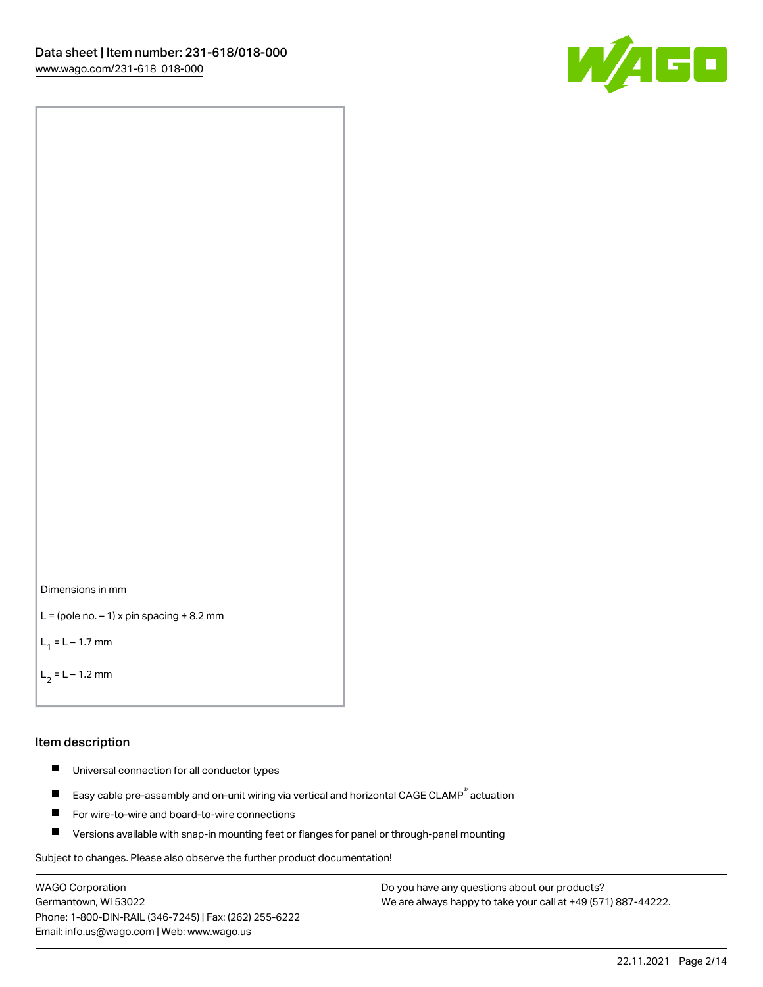



```
L = (pole no. -1) x pin spacing +8.2 mm
```
 $L_1 = L - 1.7$  mm

```
L_2 = L - 1.2 mm
```
#### Item description

- $\blacksquare$ Universal connection for all conductor types
- Easy cable pre-assembly and on-unit wiring via vertical and horizontal CAGE CLAMP<sup>®</sup> actuation  $\blacksquare$
- $\blacksquare$ For wire-to-wire and board-to-wire connections
- $\blacksquare$ Versions available with snap-in mounting feet or flanges for panel or through-panel mounting

Subject to changes. Please also observe the further product documentation!

WAGO Corporation Germantown, WI 53022 Phone: 1-800-DIN-RAIL (346-7245) | Fax: (262) 255-6222 Email: info.us@wago.com | Web: www.wago.us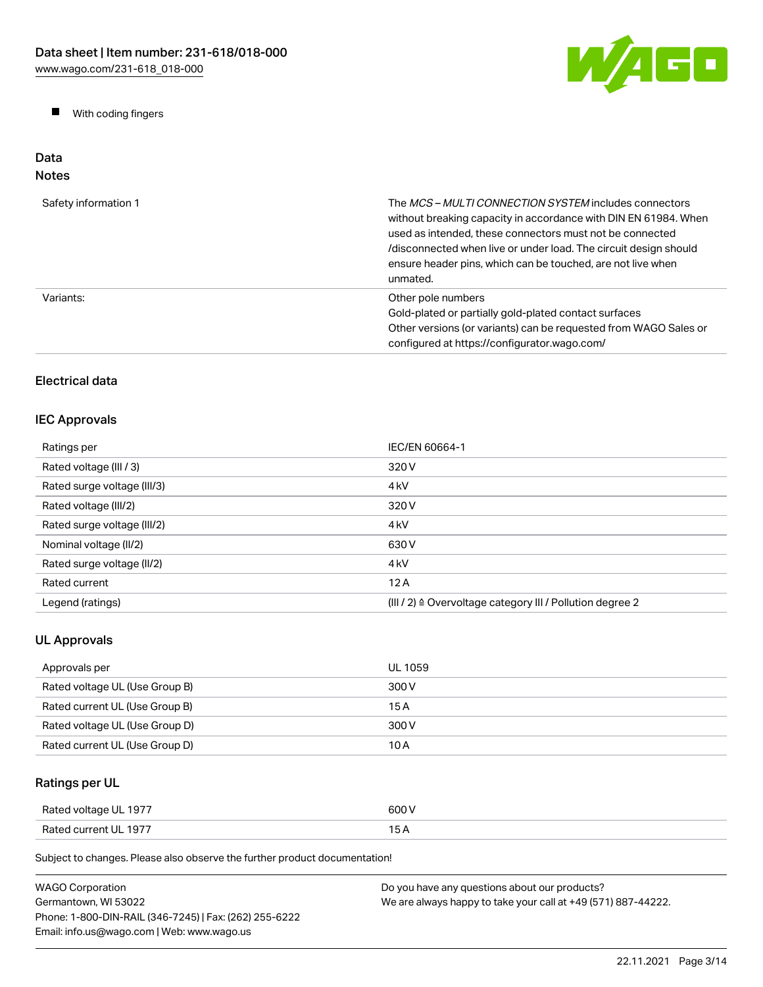W/AGO

 $\blacksquare$ With coding fingers

#### Data Notes

| Safety information 1 | The <i>MCS - MULTI CONNECTION SYSTEM</i> includes connectors<br>without breaking capacity in accordance with DIN EN 61984. When<br>used as intended, these connectors must not be connected<br>/disconnected when live or under load. The circuit design should<br>ensure header pins, which can be touched, are not live when<br>unmated. |
|----------------------|--------------------------------------------------------------------------------------------------------------------------------------------------------------------------------------------------------------------------------------------------------------------------------------------------------------------------------------------|
| Variants:            | Other pole numbers<br>Gold-plated or partially gold-plated contact surfaces<br>Other versions (or variants) can be requested from WAGO Sales or<br>configured at https://configurator.wago.com/                                                                                                                                            |

# Electrical data

## IEC Approvals

| Ratings per                 | IEC/EN 60664-1                                                       |
|-----------------------------|----------------------------------------------------------------------|
| Rated voltage (III / 3)     | 320 V                                                                |
| Rated surge voltage (III/3) | 4 <sub>k</sub> V                                                     |
| Rated voltage (III/2)       | 320 V                                                                |
| Rated surge voltage (III/2) | 4 <sub>k</sub> V                                                     |
| Nominal voltage (II/2)      | 630 V                                                                |
| Rated surge voltage (II/2)  | 4 <sub>k</sub> V                                                     |
| Rated current               | 12A                                                                  |
| Legend (ratings)            | (III / 2) $\triangleq$ Overvoltage category III / Pollution degree 2 |

# UL Approvals

| Approvals per                  | UL 1059 |
|--------------------------------|---------|
| Rated voltage UL (Use Group B) | 300 V   |
| Rated current UL (Use Group B) | 15 A    |
| Rated voltage UL (Use Group D) | 300 V   |
| Rated current UL (Use Group D) | 10 A    |

# Ratings per UL

| Rated voltage UL 1977 | 600 V |
|-----------------------|-------|
| Rated current UL 1977 | . .   |

Subject to changes. Please also observe the further product documentation!

| <b>WAGO Corporation</b>                                | Do you have any questions about our products?                 |
|--------------------------------------------------------|---------------------------------------------------------------|
| Germantown. WI 53022                                   | We are always happy to take your call at +49 (571) 887-44222. |
| Phone: 1-800-DIN-RAIL (346-7245)   Fax: (262) 255-6222 |                                                               |
| Email: info.us@wago.com   Web: www.wago.us             |                                                               |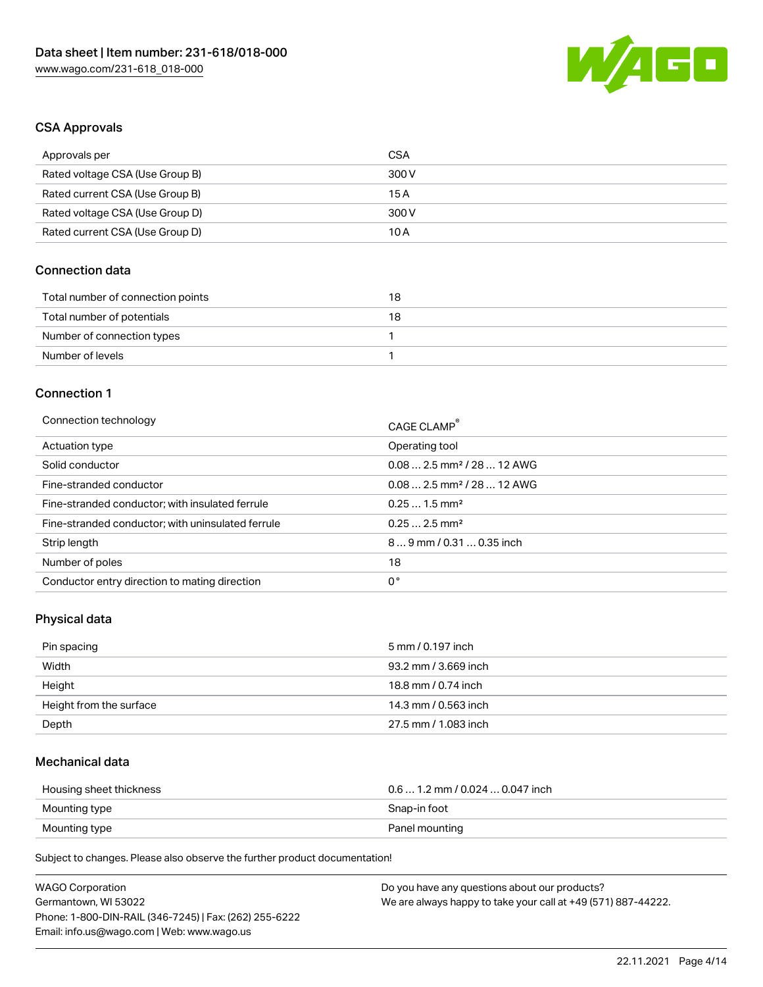

## CSA Approvals

| Approvals per                   | CSA   |
|---------------------------------|-------|
| Rated voltage CSA (Use Group B) | 300 V |
| Rated current CSA (Use Group B) | 15 A  |
| Rated voltage CSA (Use Group D) | 300 V |
| Rated current CSA (Use Group D) | 10 A  |

### Connection data

| Total number of connection points | 18 |
|-----------------------------------|----|
| Total number of potentials        | 18 |
| Number of connection types        |    |
| Number of levels                  |    |

#### Connection 1

| Connection technology                             | CAGE CLAMP®                            |
|---------------------------------------------------|----------------------------------------|
| Actuation type                                    | Operating tool                         |
| Solid conductor                                   | $0.082.5$ mm <sup>2</sup> / 28  12 AWG |
| Fine-stranded conductor                           | $0.082.5$ mm <sup>2</sup> / 28  12 AWG |
| Fine-stranded conductor; with insulated ferrule   | $0.251.5$ mm <sup>2</sup>              |
| Fine-stranded conductor; with uninsulated ferrule | $0.252.5$ mm <sup>2</sup>              |
| Strip length                                      | $89$ mm / 0.31  0.35 inch              |
| Number of poles                                   | 18                                     |
| Conductor entry direction to mating direction     | 0°                                     |

# Physical data

| Pin spacing             | 5 mm / 0.197 inch    |
|-------------------------|----------------------|
| Width                   | 93.2 mm / 3.669 inch |
| Height                  | 18.8 mm / 0.74 inch  |
| Height from the surface | 14.3 mm / 0.563 inch |
| Depth                   | 27.5 mm / 1.083 inch |

## Mechanical data

| Housing sheet thickness | $0.6$ 1.2 mm / 0.024 $$ 0.047 inch |
|-------------------------|------------------------------------|
| Mounting type           | Snap-in foot                       |
| Mounting type           | Panel mounting                     |

Subject to changes. Please also observe the further product documentation!

| <b>WAGO Corporation</b>                                | Do you have any questions about our products?                 |
|--------------------------------------------------------|---------------------------------------------------------------|
| Germantown, WI 53022                                   | We are always happy to take your call at +49 (571) 887-44222. |
| Phone: 1-800-DIN-RAIL (346-7245)   Fax: (262) 255-6222 |                                                               |
| Email: info.us@wago.com   Web: www.wago.us             |                                                               |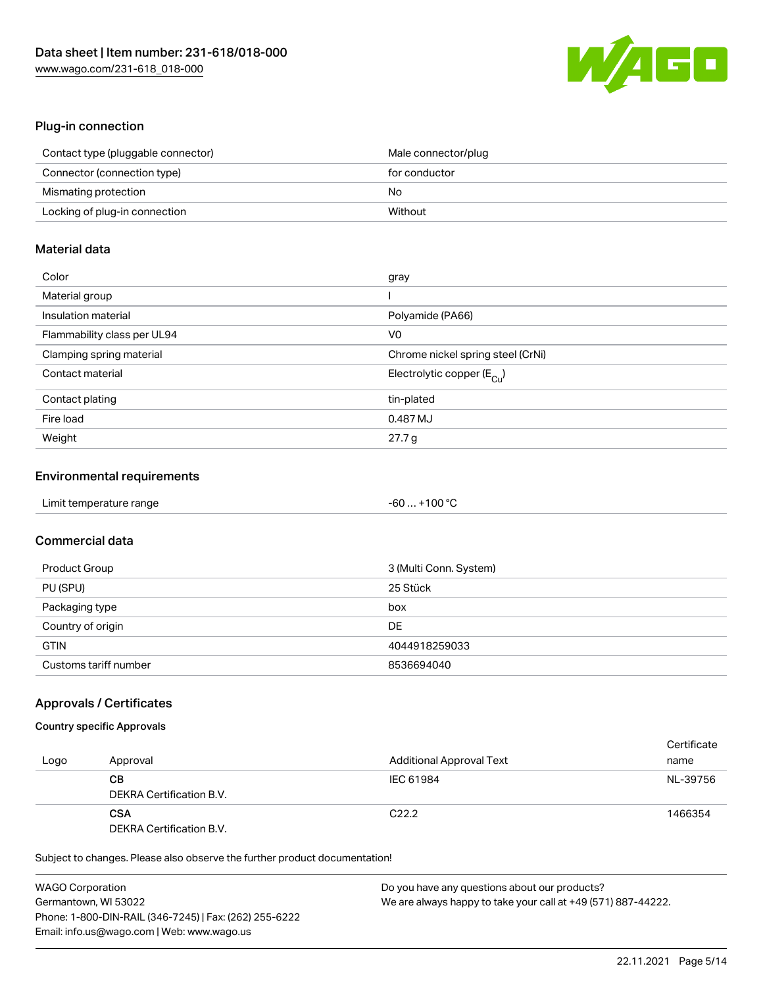

### Plug-in connection

| Contact type (pluggable connector) | Male connector/plug |
|------------------------------------|---------------------|
| Connector (connection type)        | for conductor       |
| Mismating protection               | No                  |
| Locking of plug-in connection      | Without             |

## Material data

| Color                       | gray                                    |
|-----------------------------|-----------------------------------------|
| Material group              |                                         |
| Insulation material         | Polyamide (PA66)                        |
| Flammability class per UL94 | V0                                      |
| Clamping spring material    | Chrome nickel spring steel (CrNi)       |
| Contact material            | Electrolytic copper ( $E_{\text{Cu}}$ ) |
| Contact plating             | tin-plated                              |
| Fire load                   | 0.487 MJ                                |
| Weight                      | 27.7 g                                  |

### Environmental requirements

| Limit temperature range | $-60+100 °C$ |  |
|-------------------------|--------------|--|
|-------------------------|--------------|--|

## Commercial data

| Product Group         | 3 (Multi Conn. System) |
|-----------------------|------------------------|
| PU (SPU)              | 25 Stück               |
| Packaging type        | box                    |
| Country of origin     | DE                     |
| <b>GTIN</b>           | 4044918259033          |
| Customs tariff number | 8536694040             |

### Approvals / Certificates

## Country specific Approvals

| Logo | Approval                               | <b>Additional Approval Text</b> | Certificate<br>name |
|------|----------------------------------------|---------------------------------|---------------------|
|      | CВ<br>DEKRA Certification B.V.         | IEC 61984                       | NL-39756            |
|      | <b>CSA</b><br>DEKRA Certification B.V. | C <sub>22.2</sub>               | 1466354             |

Subject to changes. Please also observe the further product documentation!

| <b>WAGO Corporation</b>                                | Do you have any questions about our products?                 |
|--------------------------------------------------------|---------------------------------------------------------------|
| Germantown, WI 53022                                   | We are always happy to take your call at +49 (571) 887-44222. |
| Phone: 1-800-DIN-RAIL (346-7245)   Fax: (262) 255-6222 |                                                               |
| Email: info.us@wago.com   Web: www.wago.us             |                                                               |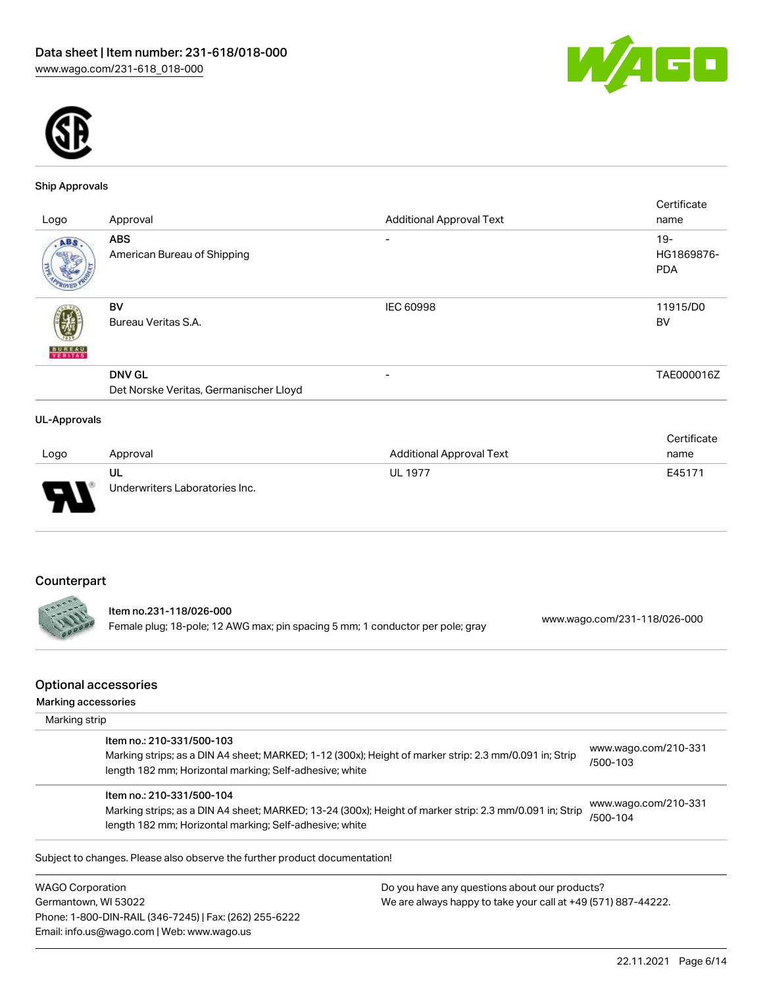



#### Ship Approvals

|                     |                                                         |                                 | Certificate                        |
|---------------------|---------------------------------------------------------|---------------------------------|------------------------------------|
| Logo                | Approval                                                | <b>Additional Approval Text</b> | name                               |
| ABS                 | <b>ABS</b><br>American Bureau of Shipping               | $\overline{\phantom{0}}$        | $19 -$<br>HG1869876-<br><b>PDA</b> |
| <b>BUREAU</b>       | BV<br>Bureau Veritas S.A.                               | IEC 60998                       | 11915/D0<br>BV                     |
|                     | <b>DNV GL</b><br>Det Norske Veritas, Germanischer Lloyd | $\overline{\phantom{a}}$        | TAE000016Z                         |
| <b>UL-Approvals</b> |                                                         |                                 |                                    |

|        |                                |                                 | Certificate |
|--------|--------------------------------|---------------------------------|-------------|
| Logo   | Approval                       | <b>Additional Approval Text</b> | name        |
|        | UL                             | <b>UL 1977</b>                  | E45171      |
| $\Box$ | Underwriters Laboratories Inc. |                                 |             |

# Counterpart

. . .

Item no.231-118/026-000 Female plug; 18-pole; 12 AWG max; pin spacing 5 mm; 1 conductor per pole; gray [www.wago.com/231-118/026-000](https://www.wago.com/231-118/026-000)

#### Optional accessories

| Marking strip<br>Item no.: 210-331/500-103 |                                                                                                                                                                    |                                  |
|--------------------------------------------|--------------------------------------------------------------------------------------------------------------------------------------------------------------------|----------------------------------|
|                                            |                                                                                                                                                                    |                                  |
|                                            | Marking strips; as a DIN A4 sheet; MARKED; 1-12 (300x); Height of marker strip: 2.3 mm/0.091 in; Strip<br>length 182 mm; Horizontal marking; Self-adhesive; white  | www.wago.com/210-331<br>/500-103 |
| Item no.: 210-331/500-104                  | Marking strips; as a DIN A4 sheet; MARKED; 13-24 (300x); Height of marker strip: 2.3 mm/0.091 in; Strip<br>length 182 mm; Horizontal marking; Self-adhesive; white | www.wago.com/210-331<br>/500-104 |

WAGO Corporation Germantown, WI 53022 Phone: 1-800-DIN-RAIL (346-7245) | Fax: (262) 255-6222 Email: info.us@wago.com | Web: www.wago.us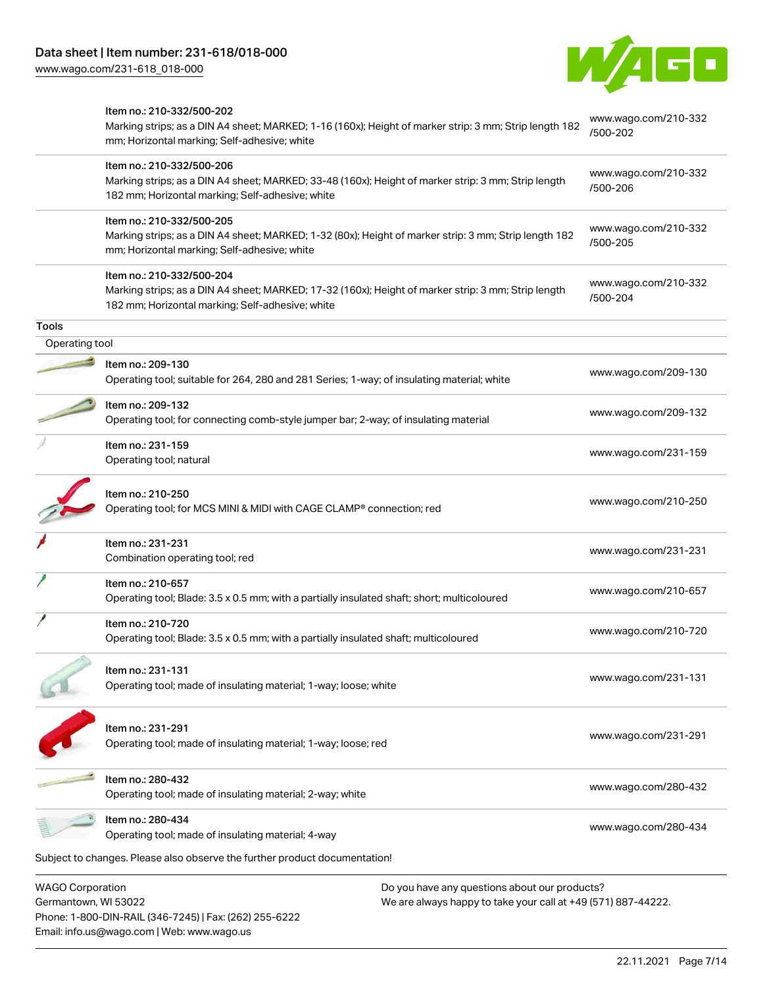Email: info.us@wago.com | Web: www.wago.us

[www.wago.com/231-618\\_018-000](http://www.wago.com/231-618_018-000)



|                         | Item no.: 210-332/500-202<br>Marking strips; as a DIN A4 sheet; MARKED; 1-16 (160x); Height of marker strip: 3 mm; Strip length 182                                                  |                                                               | www.wago.com/210-332             |
|-------------------------|--------------------------------------------------------------------------------------------------------------------------------------------------------------------------------------|---------------------------------------------------------------|----------------------------------|
|                         | mm; Horizontal marking; Self-adhesive; white                                                                                                                                         |                                                               | /500-202                         |
|                         | Item no.: 210-332/500-206<br>Marking strips; as a DIN A4 sheet; MARKED; 33-48 (160x); Height of marker strip: 3 mm; Strip length<br>182 mm; Horizontal marking; Self-adhesive; white |                                                               | www.wago.com/210-332<br>/500-206 |
|                         | Item no.: 210-332/500-205<br>Marking strips; as a DIN A4 sheet; MARKED; 1-32 (80x); Height of marker strip: 3 mm; Strip length 182<br>mm; Horizontal marking; Self-adhesive; white   |                                                               | www.wago.com/210-332<br>/500-205 |
|                         | Item no.: 210-332/500-204<br>Marking strips; as a DIN A4 sheet; MARKED; 17-32 (160x); Height of marker strip: 3 mm; Strip length<br>182 mm; Horizontal marking; Self-adhesive; white |                                                               | www.wago.com/210-332<br>/500-204 |
| <b>Tools</b>            |                                                                                                                                                                                      |                                                               |                                  |
| Operating tool          |                                                                                                                                                                                      |                                                               |                                  |
|                         | Item no.: 209-130<br>Operating tool; suitable for 264, 280 and 281 Series; 1-way; of insulating material; white                                                                      |                                                               | www.wago.com/209-130             |
|                         | Item no.: 209-132<br>Operating tool; for connecting comb-style jumper bar; 2-way; of insulating material                                                                             |                                                               | www.wago.com/209-132             |
|                         | Item no.: 231-159<br>Operating tool; natural                                                                                                                                         |                                                               | www.wago.com/231-159             |
|                         | Item no.: 210-250<br>Operating tool; for MCS MINI & MIDI with CAGE CLAMP® connection; red                                                                                            |                                                               | www.wago.com/210-250             |
|                         | Item no.: 231-231<br>Combination operating tool; red                                                                                                                                 |                                                               | www.wago.com/231-231             |
|                         | Item no.: 210-657<br>Operating tool; Blade: 3.5 x 0.5 mm; with a partially insulated shaft; short; multicoloured                                                                     |                                                               | www.wago.com/210-657             |
|                         | Item no.: 210-720<br>Operating tool; Blade: 3.5 x 0.5 mm; with a partially insulated shaft; multicoloured                                                                            |                                                               | www.wago.com/210-720             |
|                         | Item no.: 231-131<br>Operating tool; made of insulating material; 1-way; loose; white                                                                                                |                                                               | www.wago.com/231-131             |
|                         | Item no.: 231-291<br>Operating tool; made of insulating material; 1-way; loose; red                                                                                                  |                                                               | www.wago.com/231-291             |
|                         | Item no.: 280-432<br>Operating tool; made of insulating material; 2-way; white                                                                                                       |                                                               | www.wago.com/280-432             |
|                         | Item no.: 280-434<br>Operating tool; made of insulating material; 4-way                                                                                                              |                                                               | www.wago.com/280-434             |
|                         | Subject to changes. Please also observe the further product documentation!                                                                                                           |                                                               |                                  |
| <b>WAGO Corporation</b> |                                                                                                                                                                                      | Do you have any questions about our products?                 |                                  |
| Germantown, WI 53022    | Phone: 1-800-DIN-RAIL (346-7245)   Fax: (262) 255-6222                                                                                                                               | We are always happy to take your call at +49 (571) 887-44222. |                                  |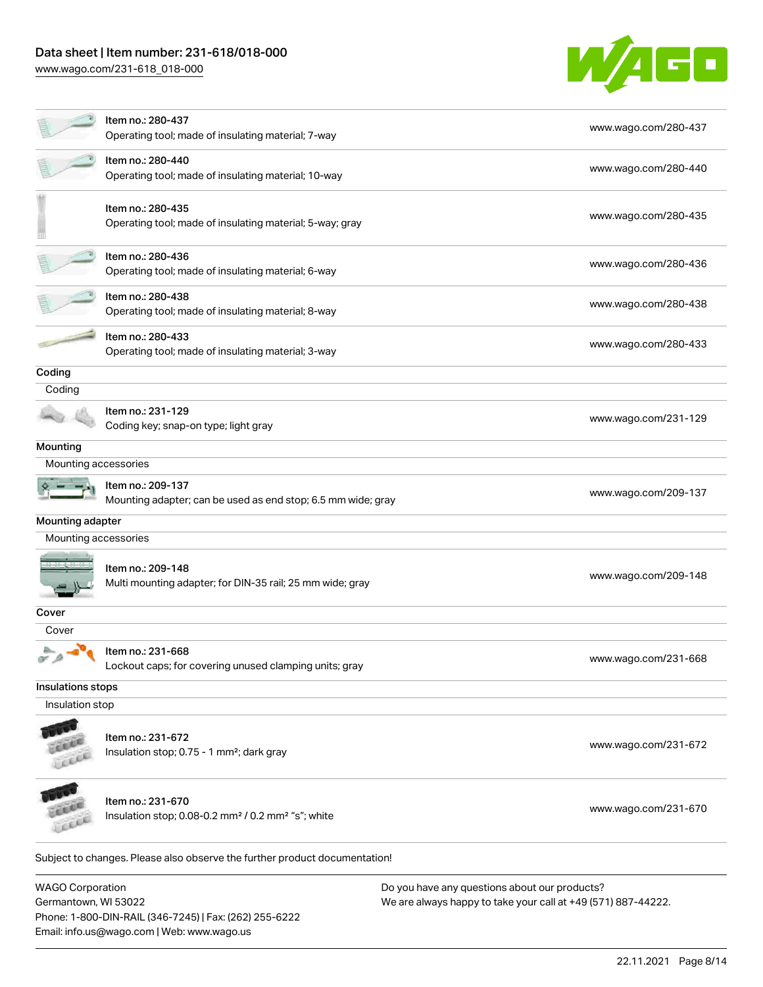# Data sheet | Item number: 231-618/018-000

[www.wago.com/231-618\\_018-000](http://www.wago.com/231-618_018-000)



|                         | Item no.: 280-437<br>Operating tool; made of insulating material; 7-way                         | www.wago.com/280-437                          |
|-------------------------|-------------------------------------------------------------------------------------------------|-----------------------------------------------|
|                         | Item no.: 280-440<br>Operating tool; made of insulating material; 10-way                        | www.wago.com/280-440                          |
|                         | Item no.: 280-435<br>Operating tool; made of insulating material; 5-way; gray                   | www.wago.com/280-435                          |
|                         | Item no.: 280-436<br>Operating tool; made of insulating material; 6-way                         | www.wago.com/280-436                          |
|                         | Item no.: 280-438<br>Operating tool; made of insulating material; 8-way                         | www.wago.com/280-438                          |
|                         | Item no.: 280-433<br>Operating tool; made of insulating material; 3-way                         | www.wago.com/280-433                          |
| Coding                  |                                                                                                 |                                               |
| Coding                  |                                                                                                 |                                               |
|                         | Item no.: 231-129<br>Coding key; snap-on type; light gray                                       | www.wago.com/231-129                          |
| Mounting                |                                                                                                 |                                               |
| Mounting accessories    |                                                                                                 |                                               |
|                         | Item no.: 209-137<br>Mounting adapter; can be used as end stop; 6.5 mm wide; gray               | www.wago.com/209-137                          |
| Mounting adapter        |                                                                                                 |                                               |
| Mounting accessories    |                                                                                                 |                                               |
|                         | Item no.: 209-148<br>Multi mounting adapter; for DIN-35 rail; 25 mm wide; gray                  | www.wago.com/209-148                          |
| Cover                   |                                                                                                 |                                               |
| Cover                   |                                                                                                 |                                               |
|                         | Item no.: 231-668<br>Lockout caps; for covering unused clamping units; gray                     | www.wago.com/231-668                          |
| Insulations stops       |                                                                                                 |                                               |
| Insulation stop         |                                                                                                 |                                               |
|                         | Item no.: 231-672<br>Insulation stop; 0.75 - 1 mm <sup>2</sup> ; dark gray                      | www.wago.com/231-672                          |
| ici                     | Item no.: 231-670<br>Insulation stop; 0.08-0.2 mm <sup>2</sup> / 0.2 mm <sup>2</sup> "s"; white | www.wago.com/231-670                          |
|                         | Subject to changes. Please also observe the further product documentation!                      |                                               |
| <b>WAGO Corporation</b> |                                                                                                 | Do you have any questions about our products? |

Germantown, WI 53022 Phone: 1-800-DIN-RAIL (346-7245) | Fax: (262) 255-6222 Email: info.us@wago.com | Web: www.wago.us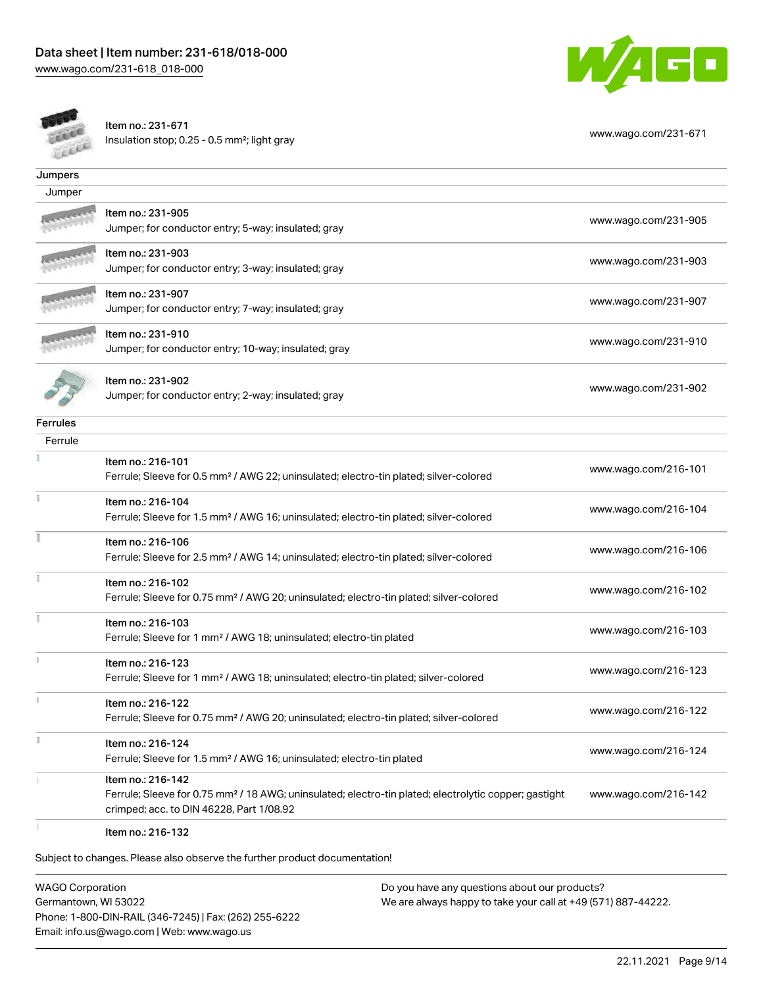



Item no.: 231-671 Insulation stop; 0.25 - 0.5 mm²; light gray [www.wago.com/231-671](http://www.wago.com/231-671) www.wago.com/231-671

| Jumpers         |                                                                                                                   |                      |
|-----------------|-------------------------------------------------------------------------------------------------------------------|----------------------|
| Jumper          |                                                                                                                   |                      |
|                 | ltem no.: 231-905                                                                                                 |                      |
|                 | Jumper; for conductor entry; 5-way; insulated; gray                                                               | www.wago.com/231-905 |
|                 | Item no.: 231-903                                                                                                 |                      |
|                 | Jumper; for conductor entry; 3-way; insulated; gray                                                               | www.wago.com/231-903 |
|                 | Item no.: 231-907                                                                                                 | www.wago.com/231-907 |
|                 | Jumper; for conductor entry; 7-way; insulated; gray                                                               |                      |
|                 | Item no.: 231-910                                                                                                 | www.wago.com/231-910 |
|                 | Jumper; for conductor entry; 10-way; insulated; gray                                                              |                      |
|                 | Item no.: 231-902                                                                                                 |                      |
|                 | Jumper; for conductor entry; 2-way; insulated; gray                                                               | www.wago.com/231-902 |
| <b>Ferrules</b> |                                                                                                                   |                      |
| Ferrule         |                                                                                                                   |                      |
|                 |                                                                                                                   |                      |
|                 | Item no.: 216-101                                                                                                 | www.wago.com/216-101 |
|                 | Ferrule; Sleeve for 0.5 mm <sup>2</sup> / AWG 22; uninsulated; electro-tin plated; silver-colored                 |                      |
|                 | Item no.: 216-104                                                                                                 | www.wago.com/216-104 |
|                 | Ferrule; Sleeve for 1.5 mm <sup>2</sup> / AWG 16; uninsulated; electro-tin plated; silver-colored                 |                      |
|                 | Item no.: 216-106                                                                                                 |                      |
|                 | Ferrule; Sleeve for 2.5 mm <sup>2</sup> / AWG 14; uninsulated; electro-tin plated; silver-colored                 | www.wago.com/216-106 |
|                 | Item no.: 216-102                                                                                                 |                      |
|                 | Ferrule; Sleeve for 0.75 mm <sup>2</sup> / AWG 20; uninsulated; electro-tin plated; silver-colored                | www.wago.com/216-102 |
|                 | Item no.: 216-103                                                                                                 |                      |
|                 | Ferrule; Sleeve for 1 mm <sup>2</sup> / AWG 18; uninsulated; electro-tin plated                                   | www.wago.com/216-103 |
|                 | Item no.: 216-123                                                                                                 |                      |
|                 | Ferrule; Sleeve for 1 mm <sup>2</sup> / AWG 18; uninsulated; electro-tin plated; silver-colored                   | www.wago.com/216-123 |
|                 | Item no.: 216-122                                                                                                 |                      |
|                 | Ferrule; Sleeve for 0.75 mm <sup>2</sup> / AWG 20; uninsulated; electro-tin plated; silver-colored                | www.wago.com/216-122 |
| B               | Item no.: 216-124                                                                                                 |                      |
|                 | Ferrule; Sleeve for 1.5 mm <sup>2</sup> / AWG 16; uninsulated; electro-tin plated                                 | www.wago.com/216-124 |
|                 | Item no.: 216-142                                                                                                 |                      |
|                 | Ferrule; Sleeve for 0.75 mm <sup>2</sup> / 18 AWG; uninsulated; electro-tin plated; electrolytic copper; gastight | www.wago.com/216-142 |
|                 | crimped; acc. to DIN 46228, Part 1/08.92                                                                          |                      |
|                 |                                                                                                                   |                      |

Item no.: 216-132

Subject to changes. Please also observe the further product documentation!

WAGO Corporation Germantown, WI 53022 Phone: 1-800-DIN-RAIL (346-7245) | Fax: (262) 255-6222 Email: info.us@wago.com | Web: www.wago.us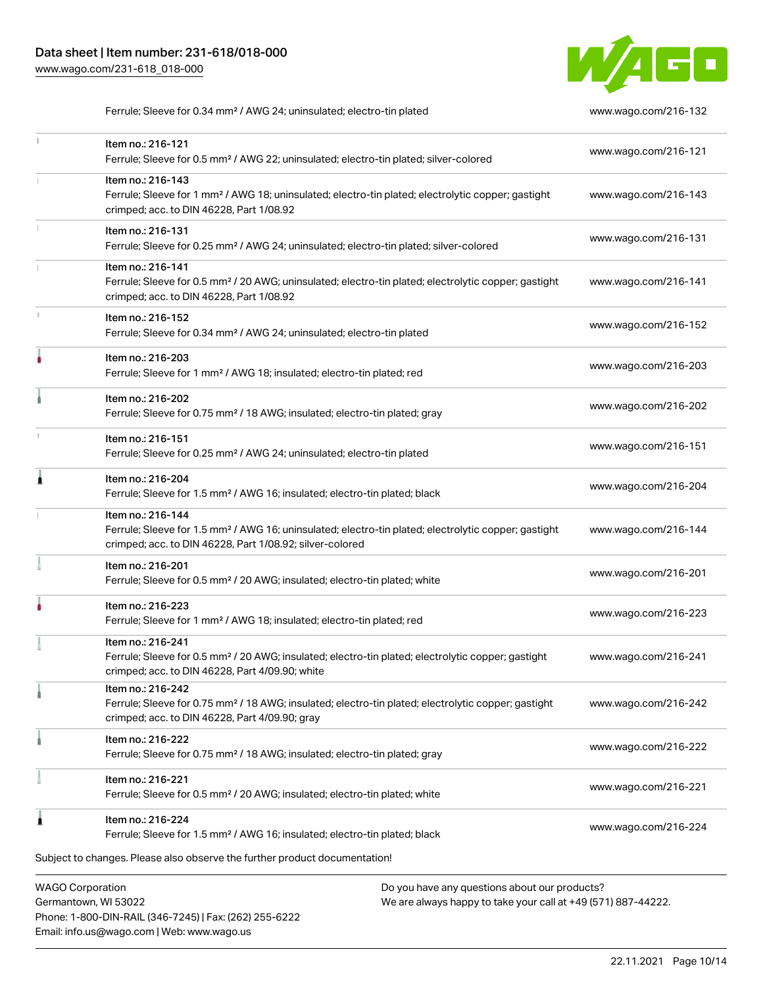

Ferrule; Sleeve for 0.34 mm<sup>2</sup> / AWG 24; uninsulated; electro-tin plated [www.wago.com/216-132](http://www.wago.com/216-132)

| ī. | Item no.: 216-121<br>Ferrule; Sleeve for 0.5 mm <sup>2</sup> / AWG 22; uninsulated; electro-tin plated; silver-colored                                                                            |                                                                                                               | www.wago.com/216-121 |
|----|---------------------------------------------------------------------------------------------------------------------------------------------------------------------------------------------------|---------------------------------------------------------------------------------------------------------------|----------------------|
|    | Item no.: 216-143<br>Ferrule; Sleeve for 1 mm <sup>2</sup> / AWG 18; uninsulated; electro-tin plated; electrolytic copper; gastight<br>crimped; acc. to DIN 46228, Part 1/08.92                   |                                                                                                               | www.wago.com/216-143 |
|    | Item no.: 216-131<br>Ferrule; Sleeve for 0.25 mm <sup>2</sup> / AWG 24; uninsulated; electro-tin plated; silver-colored                                                                           |                                                                                                               | www.wago.com/216-131 |
|    | Item no.: 216-141<br>Ferrule; Sleeve for 0.5 mm <sup>2</sup> / 20 AWG; uninsulated; electro-tin plated; electrolytic copper; gastight<br>crimped; acc. to DIN 46228, Part 1/08.92                 |                                                                                                               | www.wago.com/216-141 |
| I. | Item no.: 216-152<br>Ferrule; Sleeve for 0.34 mm <sup>2</sup> / AWG 24; uninsulated; electro-tin plated                                                                                           |                                                                                                               | www.wago.com/216-152 |
| ۸  | Item no.: 216-203<br>Ferrule; Sleeve for 1 mm <sup>2</sup> / AWG 18; insulated; electro-tin plated; red                                                                                           |                                                                                                               | www.wago.com/216-203 |
|    | Item no.: 216-202<br>Ferrule; Sleeve for 0.75 mm <sup>2</sup> / 18 AWG; insulated; electro-tin plated; gray                                                                                       |                                                                                                               | www.wago.com/216-202 |
|    | Item no.: 216-151<br>Ferrule; Sleeve for 0.25 mm <sup>2</sup> / AWG 24; uninsulated; electro-tin plated                                                                                           |                                                                                                               | www.wago.com/216-151 |
| Â  | Item no.: 216-204<br>Ferrule; Sleeve for 1.5 mm <sup>2</sup> / AWG 16; insulated; electro-tin plated; black                                                                                       |                                                                                                               | www.wago.com/216-204 |
|    | Item no.: 216-144<br>Ferrule; Sleeve for 1.5 mm <sup>2</sup> / AWG 16; uninsulated; electro-tin plated; electrolytic copper; gastight<br>crimped; acc. to DIN 46228, Part 1/08.92; silver-colored |                                                                                                               | www.wago.com/216-144 |
|    | Item no.: 216-201<br>Ferrule; Sleeve for 0.5 mm <sup>2</sup> / 20 AWG; insulated; electro-tin plated; white                                                                                       |                                                                                                               | www.wago.com/216-201 |
|    | Item no.: 216-223<br>Ferrule; Sleeve for 1 mm <sup>2</sup> / AWG 18; insulated; electro-tin plated; red                                                                                           |                                                                                                               | www.wago.com/216-223 |
|    | Item no.: 216-241<br>Ferrule; Sleeve for 0.5 mm <sup>2</sup> / 20 AWG; insulated; electro-tin plated; electrolytic copper; gastight<br>crimped; acc. to DIN 46228, Part 4/09.90; white            |                                                                                                               | www.wago.com/216-241 |
| a  | Item no.: 216-242<br>Ferrule; Sleeve for 0.75 mm <sup>2</sup> / 18 AWG; insulated; electro-tin plated; electrolytic copper; gastight<br>crimped; acc. to DIN 46228, Part 4/09.90; gray            |                                                                                                               | www.wago.com/216-242 |
|    | Item no.: 216-222<br>Ferrule; Sleeve for 0.75 mm <sup>2</sup> / 18 AWG; insulated; electro-tin plated; gray                                                                                       |                                                                                                               | www.wago.com/216-222 |
|    | Item no.: 216-221<br>Ferrule; Sleeve for 0.5 mm <sup>2</sup> / 20 AWG; insulated; electro-tin plated; white                                                                                       |                                                                                                               | www.wago.com/216-221 |
|    | Item no.: 216-224<br>Ferrule; Sleeve for 1.5 mm <sup>2</sup> / AWG 16; insulated; electro-tin plated; black                                                                                       |                                                                                                               | www.wago.com/216-224 |
|    | Subject to changes. Please also observe the further product documentation!                                                                                                                        |                                                                                                               |                      |
|    | <b>WAGO Corporation</b><br>Cormantown MI 52022                                                                                                                                                    | Do you have any questions about our products?<br>Mo are always banny to take your sall at +40 (571) 007-44222 |                      |

Germantown, WI 53022 Phone: 1-800-DIN-RAIL (346-7245) | Fax: (262) 255-6222 Email: info.us@wago.com | Web: www.wago.us

We are always happy to take your call at +49 (571) 887-44222.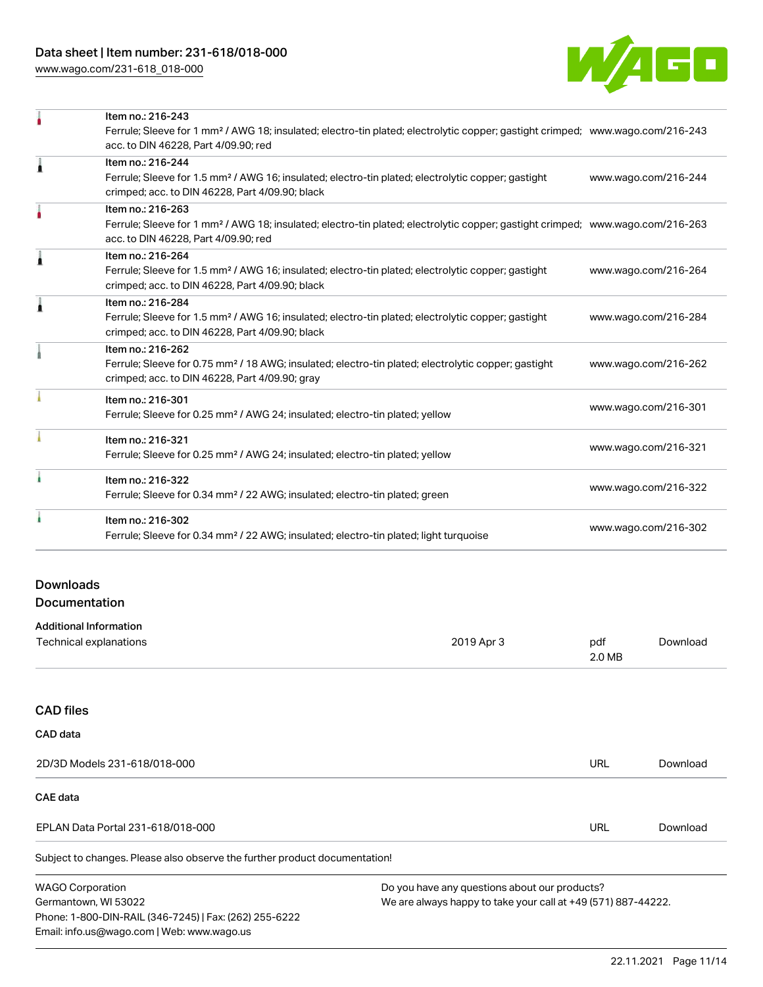[www.wago.com/231-618\\_018-000](http://www.wago.com/231-618_018-000)



|   | Item no.: 216-243                                                                                                                          |                      |
|---|--------------------------------------------------------------------------------------------------------------------------------------------|----------------------|
|   | Ferrule; Sleeve for 1 mm <sup>2</sup> / AWG 18; insulated; electro-tin plated; electrolytic copper; gastight crimped; www.wago.com/216-243 |                      |
|   | acc. to DIN 46228, Part 4/09.90; red                                                                                                       |                      |
| A | Item no.: 216-244                                                                                                                          |                      |
|   | Ferrule; Sleeve for 1.5 mm <sup>2</sup> / AWG 16; insulated; electro-tin plated; electrolytic copper; gastight                             | www.wago.com/216-244 |
|   | crimped; acc. to DIN 46228, Part 4/09.90; black                                                                                            |                      |
|   | Item no.: 216-263                                                                                                                          |                      |
|   | Ferrule; Sleeve for 1 mm <sup>2</sup> / AWG 18; insulated; electro-tin plated; electrolytic copper; gastight crimped; www.wago.com/216-263 |                      |
|   | acc. to DIN 46228, Part 4/09.90; red                                                                                                       |                      |
|   | Item no.: 216-264                                                                                                                          |                      |
|   | Ferrule; Sleeve for 1.5 mm <sup>2</sup> / AWG 16; insulated; electro-tin plated; electrolytic copper; gastight                             | www.wago.com/216-264 |
|   | crimped; acc. to DIN 46228, Part 4/09.90; black                                                                                            |                      |
|   | Item no.: 216-284                                                                                                                          |                      |
|   | Ferrule; Sleeve for 1.5 mm <sup>2</sup> / AWG 16; insulated; electro-tin plated; electrolytic copper; gastight                             | www.wago.com/216-284 |
|   | crimped; acc. to DIN 46228, Part 4/09.90; black                                                                                            |                      |
|   | Item no.: 216-262                                                                                                                          |                      |
|   | Ferrule; Sleeve for 0.75 mm <sup>2</sup> / 18 AWG; insulated; electro-tin plated; electrolytic copper; gastight                            | www.wago.com/216-262 |
|   | crimped; acc. to DIN 46228, Part 4/09.90; gray                                                                                             |                      |
|   | Item no.: 216-301                                                                                                                          |                      |
|   | Ferrule; Sleeve for 0.25 mm <sup>2</sup> / AWG 24; insulated; electro-tin plated; yellow                                                   | www.wago.com/216-301 |
|   | Item no.: 216-321                                                                                                                          |                      |
|   | Ferrule; Sleeve for 0.25 mm <sup>2</sup> / AWG 24; insulated; electro-tin plated; yellow                                                   | www.wago.com/216-321 |
|   | Item no.: 216-322                                                                                                                          |                      |
|   | Ferrule; Sleeve for 0.34 mm <sup>2</sup> / 22 AWG; insulated; electro-tin plated; green                                                    | www.wago.com/216-322 |
|   | Item no.: 216-302                                                                                                                          |                      |
|   | Ferrule; Sleeve for 0.34 mm <sup>2</sup> / 22 AWG; insulated; electro-tin plated; light turquoise                                          | www.wago.com/216-302 |
|   |                                                                                                                                            |                      |

## Downloads Documentation

Phone: 1-800-DIN-RAIL (346-7245) | Fax: (262) 255-6222

Email: info.us@wago.com | Web: www.wago.us

| <b>Additional Information</b> |            |               |          |
|-------------------------------|------------|---------------|----------|
| Technical explanations        | 2019 Apr 3 | pdf<br>2.0 MB | Download |
|                               |            |               |          |
| <b>CAD files</b>              |            |               |          |

| CAD data                                                                   |                                                               |                                               |          |  |
|----------------------------------------------------------------------------|---------------------------------------------------------------|-----------------------------------------------|----------|--|
| 2D/3D Models 231-618/018-000                                               |                                                               | URL                                           | Download |  |
| CAE data                                                                   |                                                               |                                               |          |  |
| EPLAN Data Portal 231-618/018-000                                          |                                                               | URL                                           | Download |  |
| Subject to changes. Please also observe the further product documentation! |                                                               |                                               |          |  |
| <b>WAGO Corporation</b>                                                    |                                                               | Do you have any questions about our products? |          |  |
| Germantown, WI 53022                                                       | We are always happy to take your call at +49 (571) 887-44222. |                                               |          |  |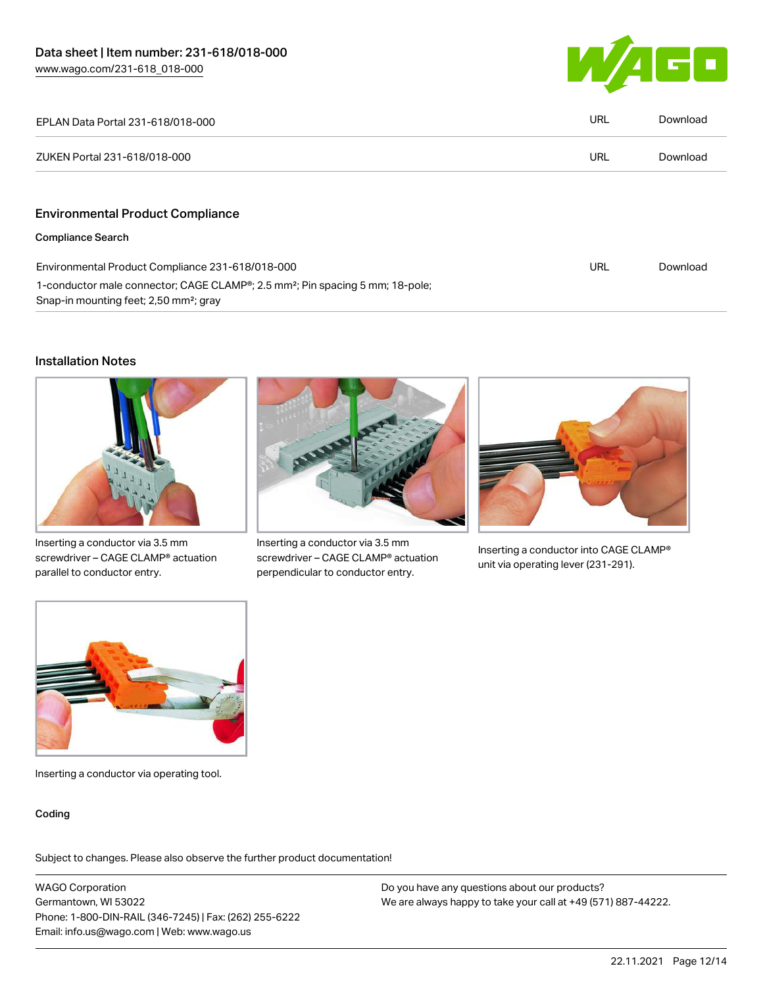

| EPLAN Data Portal 231-618/018-000                                                                                                               | <b>URL</b> | Download |
|-------------------------------------------------------------------------------------------------------------------------------------------------|------------|----------|
| ZUKEN Portal 231-618/018-000                                                                                                                    | <b>URL</b> | Download |
|                                                                                                                                                 |            |          |
| <b>Environmental Product Compliance</b>                                                                                                         |            |          |
| <b>Compliance Search</b>                                                                                                                        |            |          |
| Environmental Product Compliance 231-618/018-000                                                                                                | URL        | Download |
| 1-conductor male connector; CAGE CLAMP®; 2.5 mm <sup>2</sup> ; Pin spacing 5 mm; 18-pole;<br>Snap-in mounting feet; 2,50 mm <sup>2</sup> ; gray |            |          |

#### Installation Notes



Inserting a conductor via 3.5 mm screwdriver – CAGE CLAMP® actuation parallel to conductor entry.



Inserting a conductor via 3.5 mm screwdriver – CAGE CLAMP® actuation perpendicular to conductor entry.



Inserting a conductor into CAGE CLAMP® unit via operating lever (231-291).



Inserting a conductor via operating tool.

#### Coding

Subject to changes. Please also observe the further product documentation!

WAGO Corporation Germantown, WI 53022 Phone: 1-800-DIN-RAIL (346-7245) | Fax: (262) 255-6222 Email: info.us@wago.com | Web: www.wago.us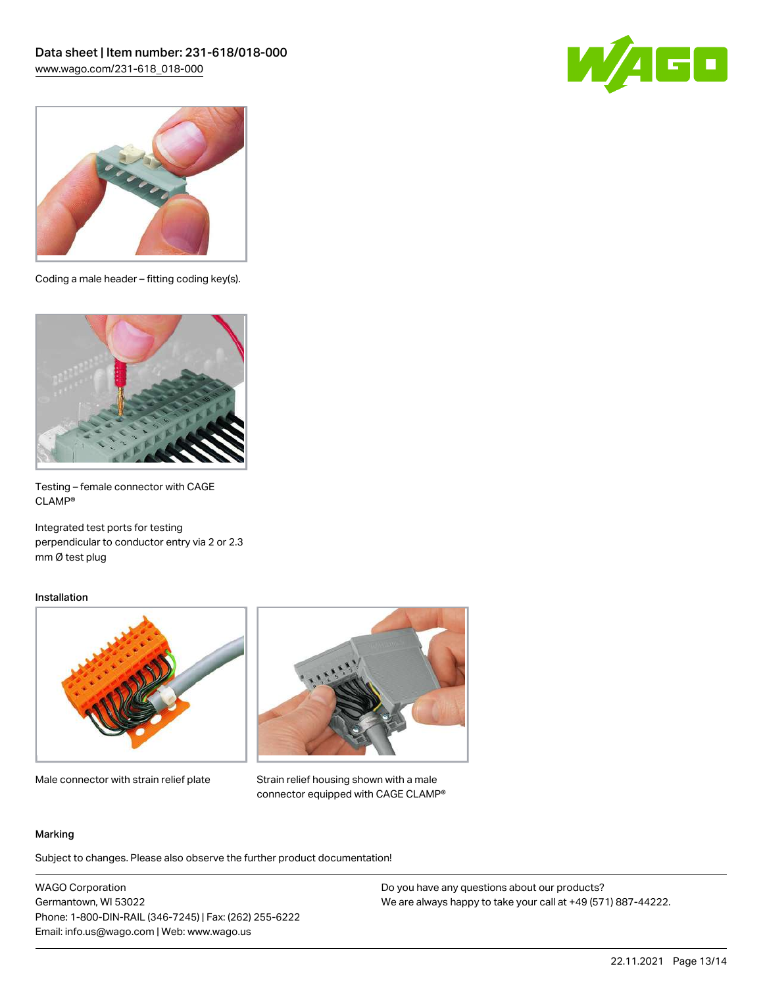



Coding a male header – fitting coding key(s).



Testing – female connector with CAGE CLAMP®

Integrated test ports for testing perpendicular to conductor entry via 2 or 2.3 mm Ø test plug

#### Installation



Male connector with strain relief plate



Strain relief housing shown with a male connector equipped with CAGE CLAMP®

#### Marking

Subject to changes. Please also observe the further product documentation!

WAGO Corporation Germantown, WI 53022 Phone: 1-800-DIN-RAIL (346-7245) | Fax: (262) 255-6222 Email: info.us@wago.com | Web: www.wago.us